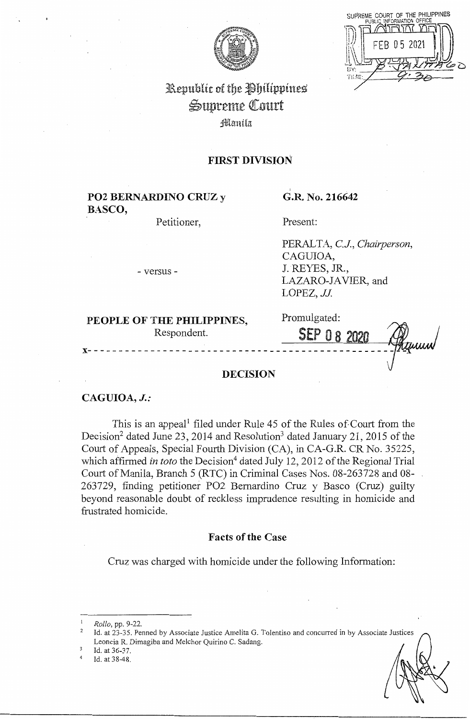

SUPREME COURT OF THE PHILIPPINES 202

# Republic of the Philippines Supreme Court **Manila**

# **FIRST DIVISION**

# **P02 BERNARDINO CRUZ** y **BASCO,**

Petitioner,

# G.R. No. 216642

Present:

PERAL TA, *CJ., Chairperson,*  CAGUIOA, J. REYES, JR., LAZARO-JAVIER, and LOPEZ, JJ.

- versus -

# **PEOPLE OF** THE **PHILIPPINES,**  Respondent.

Promulgated:

SEP 08 **x-------------------------------------------------** -

## **DECISION**

#### **CAGUIOA,** *J.:*

This is an appeal<sup>1</sup> filed under Rule 45 of the Rules of Court from the Decision<sup>2</sup> dated June 23, 2014 and Resolution<sup>3</sup> dated January 21, 2015 of the Court of Appeals, Special Fourth Division (CA), in CA-G.R. CR No. 35225, which affirmed *in toto* the Decision<sup>4</sup> dated July 12, 2012 of the Regional Trial Court of Manila, Branch 5 (RTC) in Criminal Cases Nos. 08-263728 and 08- 263729, finding petitioner PO2 Bernardino Cruz y Basco (Cruz) guilty beyond reasonable doubt of reckless imprudence resulting in homicide and frustrated homicide.

#### **Facts of the Case**

Cruz was charged with homicide under the following Information:

<sup>1</sup> *Rollo,* pp. 9-22.

Id. at 23-35. Penned by Associate Justice Amelita G. Tolentino and concurred in by Associate Justices Leoncia R. Dimagiba and Melchor Quirino C. Sadang.

Id. at 36-37.<br>Id. at 38-48.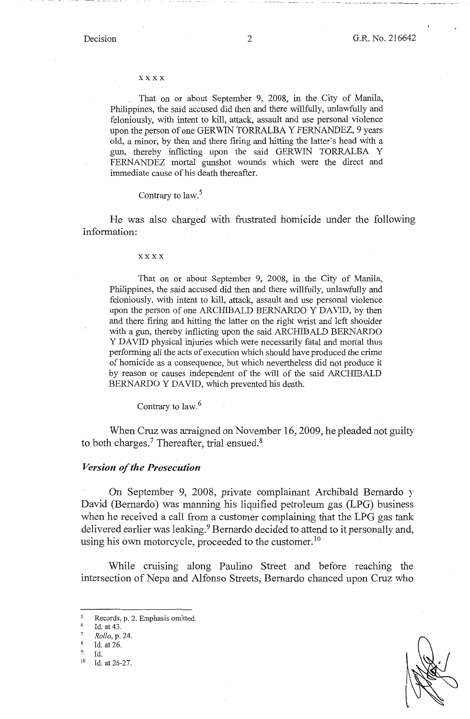#### xxxx

That on or about September 9, 2008, in the City of Manila, Philippines, the said accused did then and there willfully, unlawfully and feloniously, with intent to kill, attack, assault and use personal violence upon the person of one GERWIN TORRALBA Y FERNANDEZ, 9 years old, a minor, by then and there firing and hitting the latter's head with a gun, thereby inflicting upon the said GERWIN TORRALBA Y FERNANDEZ mortal gunshot wounds which were the direct and immediate cause of his death thereafter.

#### Contrary to law.<sup>5</sup>

He was also charged with frustrated homicide under the following Information:

#### xxxx

That on or about September 9, 2008, in the City of Manila, Philippines, the said accused did then and there willfully, unlawfully and feloniously, with intent to kill, attack, assault and use personal violence upon the person of one ARCHIBALD BERNARDO Y DAVID, by then and there firing and hitting the latter on the right wrist and left shoulder with a gun, thereby inflicting upon the said ARCHIBALD BERNARDO Y DAVID physical injuries which were necessarily fatal and mortal thus performing all the acts of execution which should have produced the crime of homicide as a consequence, but which nevertheless did not produce it by reason or causes independent of the will of the said ARCHIBALD BERNARDO Y DAVID, which prevented his death.

Contrary to law.<sup>6</sup>

When Cruz was arraigned on November 16, 2009, he pleaded not guilty to both charges.<sup>7</sup> Thereafter, trial ensued.<sup>8</sup>

#### *Version of the Prosecution*

On September 9, 2008, private complainant Archibald Bernardo y David (Bernardo) was manning his liquified petroleum gas (LPG) business when he received a call from a customer complaining that the LPG gas tank delivered earlier was leaking.<sup>9</sup> Bernardo decided to attend to it personally and, using his own motorcycle, proceeded to the customer.<sup>10</sup>

While cruising along Paulino Street and before reaching the intersection of Nepa and Alfonso Streets, Bernardo chanced upon Cruz who

<sup>5</sup> Records, p. 2. Emphasis omitted.

Id. at 43.

<sup>7</sup>*Rollo,* p. 24.

 $\frac{8}{9}$  Id. at 26.

 $^{9}$  Id.<br><sup>10</sup> Id. at 26-27.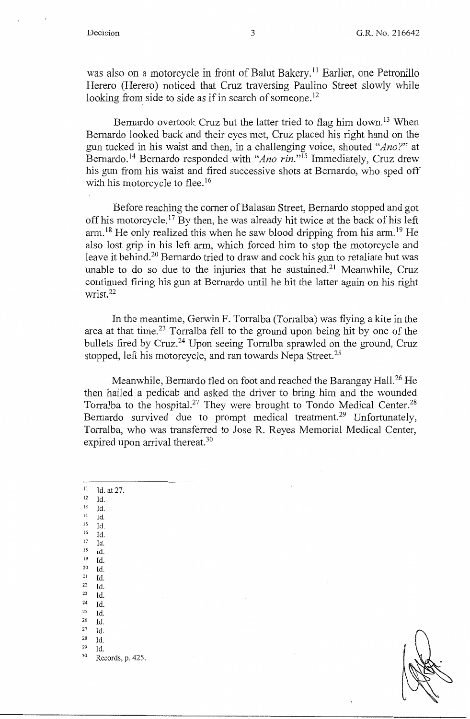was also on a motorcycle in front of Balut Bakery.<sup>11</sup> Earlier, one Petronillo Herero (Herero) noticed that Cruz traversing Paulino Street slowly while looking from side to side as if in search of someone.<sup>12</sup>

Bernardo overtook Cruz but the latter tried to flag him down.<sup>13</sup> When Bernardo looked back and their eyes met, Cruz placed his right hand on the gun tucked in his waist and then, in a challenging voice, shouted *"Ano?"* at Bernardo.<sup>14</sup> Bernardo responded with "Ano rin."<sup>15</sup> Immediately, Cruz drew his gun from his waist and fired successive shots at Bernardo, who sped off with his motorcycle to flee.<sup>16</sup>

Before reaching the corner of Balasan Street, Bernardo stopped and got off his motorcycle.<sup>17</sup> By then, he was already hit twice at the back of his left  $arm<sup>18</sup>$  He only realized this when he saw blood dripping from his arm.<sup>19</sup> He also lost grip in his left arm, which forced him to stop the motorcycle and leave it behind.<sup>20</sup> Bernardo tried to draw and cock his gun to retaliate but was unable to do so due to the injuries that he sustained.<sup>21</sup> Meanwhile, Cruz continued firing his gun at Bernardo until he hit the latter again on his right wrist.<sup>22</sup>

In the meantime, Gerwin F. Torralba (Torralba) was flying a kite in the area at that time.<sup>23</sup> Torralba fell to the ground upon being hit by one of the bullets fired by Cruz.<sup>24</sup> Upon seeing Torralba sprawled on the ground, Cruz stopped, left his motorcycle, and ran towards Nepa Street.<sup>25</sup>

Meanwhile, Bernardo fled on foot and reached the Barangay Hall.<sup>26</sup> He then hailed a pedicab and asked the driver to bring him and the wounded Torralba to the hospital.<sup>27</sup> They were brought to Tondo Medical Center.<sup>28</sup> Bernardo survived due to prompt medical treatment.<sup>29</sup> Unfortunately, Torralba, who was transferred to Jose R. Reyes Memorial Medical Center, expired upon arrival thereat.<sup>30</sup>

| 11 | Id. at 27.       |
|----|------------------|
| 12 | Id.              |
| 13 | Id.              |
| 14 | Id.              |
| 15 | Id.              |
| 16 | Id.              |
| 17 | Id.              |
| 18 | Id.              |
| 19 | Id.              |
| 20 | Id.              |
| 21 | Id.              |
| 22 | Id.              |
| 23 | Id.              |
| 24 | Id.              |
| 25 | Id.              |
| 26 | Id.              |
| 27 | Id.              |
| 28 | Id.              |
| 29 | Id.              |
| 30 | Records, p. 425. |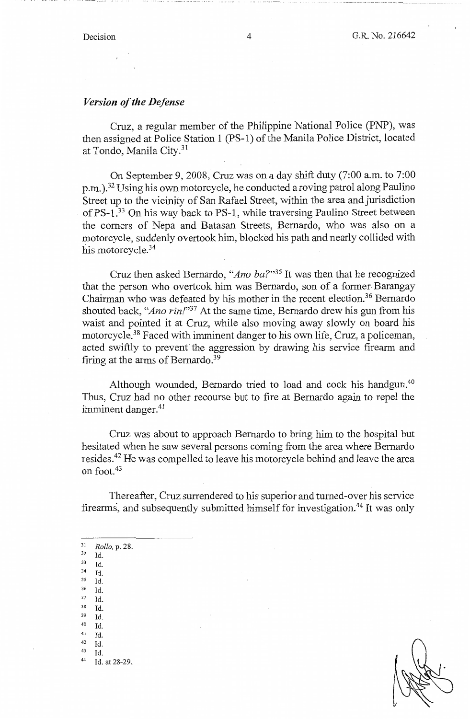#### *Version of the Defense*

Cruz, a regular member of the Philippine National Police (PNP), was then assigned at Police Station 1 (PS-1) of the Manila Police District, located at Tondo, Manila City.<sup>31</sup>

On September 9, 2008, Cruz was on a day shift duty (7:00 a.m. to 7:00 p.m. ). 32 Using his own motorcycle, he conducted a roving patrol along Paulino Street up to the vicinity of San Rafael Street, within the area and jurisdiction of PS-1. 33 On his way back to PS-1, while traversing Paulino Street between the comers of Nepa and Batasan Streets, Bernardo, who was also on a motorcycle, suddenly overtook him, blocked his path and nearly collided with his motorcycle.<sup>34</sup>

Cruz then asked Bernardo, *"Ano ba?"35* It was then that he recognized that the person who overtook him was Bernardo, son of a former. Barangay Chairman who was defeated by his mother in the recent election.<sup>36</sup> Bernardo shouted back, *"Ano rin/"37* At the same time, Bernardo drew his gun from his waist and pointed it at Cruz, while also moving away slowly on board his motorcycle.<sup>38</sup> Faced with imminent danger to his own life, Cruz, a policeman, acted swiftly to prevent the aggression by drawing his service firearm and firing at the arms of Bernardo.<sup>39</sup>

Although wounded, Bernardo tried to load and cock his handgun.<sup>40</sup> Thus, Cruz had no other recourse but to fire at Bernardo again to repel the imminent danger.<sup>41</sup>

Cruz was about to approach Bernardo to bring him to the hospital but hesitated when he saw several persons coming from the area where Bernardo resides.<sup>42</sup> He was compelled to leave his motorcycle behind and leave the area on foot. <sup>43</sup>

Thereafter, Cruz surrendered to his superior and turned-over his service firearms, and subsequently submitted himself for investigation.<sup>44</sup> It was only

<sup>31</sup>*Rollo,* p. 28. 32 Id. 33 Id. 34 Id. 35 Id. 36 Id. 37 Id. 38 Id. 39 Id. 40 Id. 41 Id. 42 Id. 43 Id. 44 Id. at 28-29.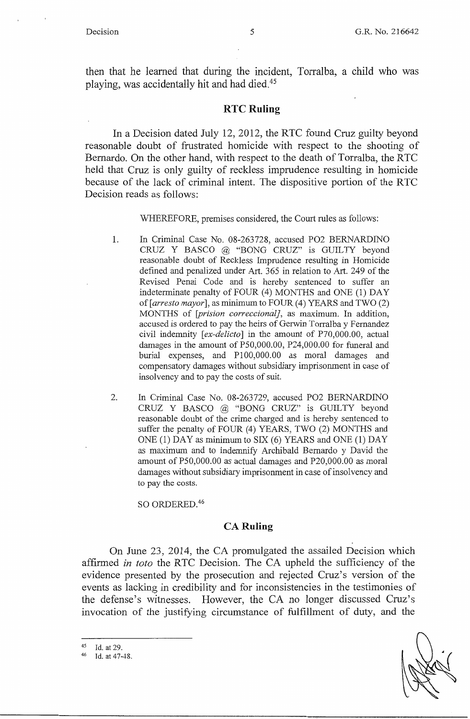then that he learned that during the incident, Torralba, a child who was playing, was accidentally hit and had died.<sup>45</sup>

#### **RTC Ruling**

In a Decision dated July 12, 2012, the RTC found Cruz guilty beyond reasonable doubt of frustrated homicide with respect to the shooting of Bernardo. On the other hand, with respect to the death of Torralba, the RTC held that Cruz is only guilty of reckless imprudence resulting in homicide because of the lack of criminal intent. The dispositive portion of the RTC Decision reads as follows:

WHEREFORE, premises considered, the Court rules as follows:

- I. In Criminal Case No. 08-263728, accused PO2 BERNARDINO CRUZ Y BASCO @ "BONG CRUZ" is GUILTY beyond reasonable doubt of Reckless Imprudence resulting in Homicide defined and penalized under Art. 365 in relation to Art. 249 of the Revised Penal Code and is hereby sentenced to suffer an indeterminate penalty of FOUR (4) MONTHS and ONE (1) DAY *of[arresto mayor],* as minimum to FOUR (4) YEARS and TWO (2) MONTHS of *[prision correccional],* as maximum. In addition, accused is ordered to pay the heirs of Gerwin Torralba y Fernandez civil indemnity [ *ex-delicto]* in the amount of P70,000.00, actual damages in the amount of PS0,000.00, P24,000.00 for funeral and burial expenses, and Pl 00,000.00 as moral damages and compensatory damages without subsidiary imprisonment in case of insolvency and to pay the costs of suit.
- 2. In Criminal Case No. 08-263729, accused PO2 BERNARDINO CRUZ Y BASCO @ "BONG CRUZ" is GUILTY beyond reasonable doubt of the crime charged and is hereby sentenced to suffer the penalty of FOUR (4) YEARS, TWO (2) MONTHS and ONE (1) DAY as minimum to SIX (6) YEARS and ONE (1) DAY as maximum and to indemnify Archibald Bernardo y David the amount of PS0,000.00 as actual damages and P20,000.00 as moral damages without subsidiary imprisonment in case of insolvency and to pay the costs.

SO ORDERED.<sup>46</sup>

### **CA Ruling**

On June 23, 2014, the CA promulgated the assailed Decision which affirmed *in toto* the RTC Decision. The CA upheld the sufficiency of the evidence presented by the prosecution and rejected Cruz's version of the events as lacking in credibility and for inconsistencies in the testimonies of the defense's witnesses. However, the CA no longer discussed Cruz's invocation of the justifying circumstance of fulfillment of duty, and the

45 Id. at 29.<br>46 Id. at 47-48.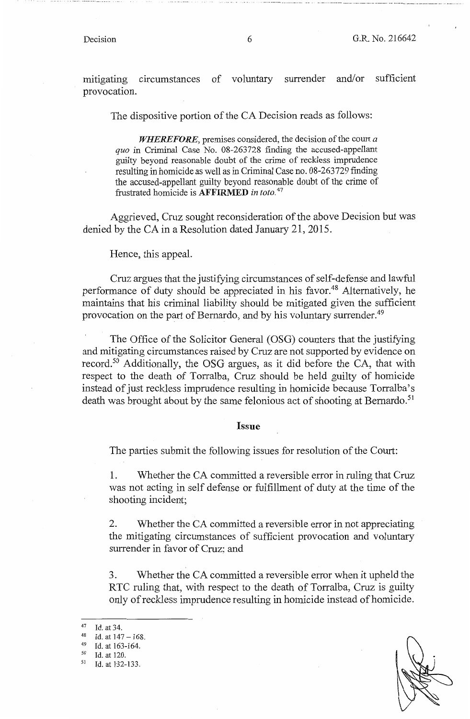mitigating circumstances of voluntary surrender and/or sufficient provocation.

The dispositive portion of the CA Decision reads as follows:

*WHEREFORE,* premises considered, the decision of the court *a quo* in Criminal Case No. 08-263728 finding the accused-appellant guilty beyond reasonable doubt of the crime of reckless imprudence resulting in homicide as well as in Criminal Case no. 08-263729 finding the accused-appellant guilty beyond reasonable doubt of the crime of :frustrated homicide is **AFFIRMED** *in toto.* <sup>47</sup>

Aggrieved, Cruz sought reconsideration of the above Decision but was denied by the CA in a Resolution dated January 21, 2015.

Hence, this appeal.

Cruz argues that the justifying circumstances of self-defense and lawful performance of duty should be appreciated in his favor. 48 Alternatively, he maintains that his criminal liability should be mitigated given the sufficient provocation on the part of Bernardo, and by his voluntary surrender.<sup>49</sup>

The Office of the Solicitor General (OSG) counters that the justifying and mitigating circumstances raised by Cruz are not supported by evidence on record.50 Additionally, the OSG argues, as it did before the CA, that with respect to the death of Torralba, Cruz should be held guilty of homicide instead of just reckless imprudence resulting in homicide because Torralba's death was brought about by the same felonious act of shooting at Bernardo.<sup>51</sup>

#### **Issue**

The parties submit the following issues for resolution of the Court:

1. Whether the CA committed a reversible error in ruling that Cruz was not acting in self defense or fulfillment of duty at the time of the shooting incident;

2. Whether the CA committed a reversible error in not appreciating the mitigating circumstances of sufficient provocation and voluntary surrender in favor of Cruz; and

3. Whether the CA committed a reversible error when it upheld the RTC ruling that, with respect to the death of Torralba, Cruz is guilty only of reckless imprudence resulting in homicide instead of homicide.

<sup>47</sup> Id. at 34.<br>
48 Id. at  $147 - 168$ .<br>
49 Id. at 163-164.<br>
50 Id. at 120.<br>
51 Id. at B32-133.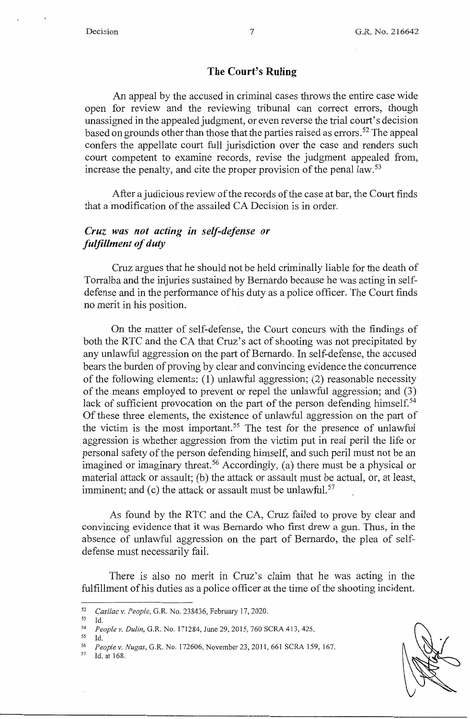### **The Court's Ruling**

An appeal by the accused in criminal cases throws the entire case wide open for review and the reviewing tribunal can correct errors, though unassigned in the appealed judgment, or even reverse the trial court's decision based on grounds other than those that the parties raised as errors.<sup>52</sup> The appeal confers the appellate court full jurisdiction over the case and renders such court competent to examine records, revise the judgment appealed from, increase the penalty, and cite the proper provision of the penal law.<sup>53</sup>

After a judicious review of the records of the case at bar, the Court finds that a modification of the assailed CA Decision is in order.

# *Cruz was not acting in self-defense or fulfillment of duty*

Cruz argues that he should not be held criminally liable for the death of Torralba and the injuries sustained by Bernardo because he was acting in selfdefense and in the performance of his duty as a police officer. The Court finds no merit in his position.

On the matter of self-defense, the Court concurs with the findings of both the RTC and the CA that Cruz's act of shooting was not precipitated by any unlawful aggression on the part of Bernardo. In self-defense, the accused bears the burden of proving by clear and convincing evidence the concurrence of the following elements: (l) unlawful aggression; (2) reasonable necessity of the means employed to prevent or repel the unlawful aggression; and (3) lack of sufficient provocation on the part of the person defending himself.<sup>54</sup> Of these three elements, the existence of unlawful aggression on the part of the victim is the most important.<sup>55</sup> The test for the presence of unlawful aggression is whether aggression from the victim put in real peril the life or personal safety of the person defending himself, and such peril must not be an imagined or imaginary threat.<sup>56</sup> Accordingly, (a) there must be a physical or material attack or assault; (b) the attack or assault must be actual, or, at least, imminent; and  $(c)$  the attack or assault must be unlawful.<sup>57</sup>

As found by the RTC and the CA, Cruz failed to prove by clear and convincing evidence that it was Bernardo who first drew a gun. Thus, in the absence of unlawful aggression on the part of Bernardo, the plea of selfdefense must necessarily fail.

There is also no merit in Cruz's claim that he was acting in the fulfillment of his duties as a police officer at the time of the shooting incident.

<sup>52</sup>*Casilac v. People,* G.R. No. 238436, February 17, 2020.

<sup>53</sup> Id. 54 *People v. Dulin,* G.R. No. 171284, June 29, 2015, 760 SCRA 413,425.

<sup>55</sup> Id.

<sup>56</sup> *Peoplev. Nugas,* G.R. No. 172606, November 23,2011, 661 SCRA 159, 167. 57 Id. at 168.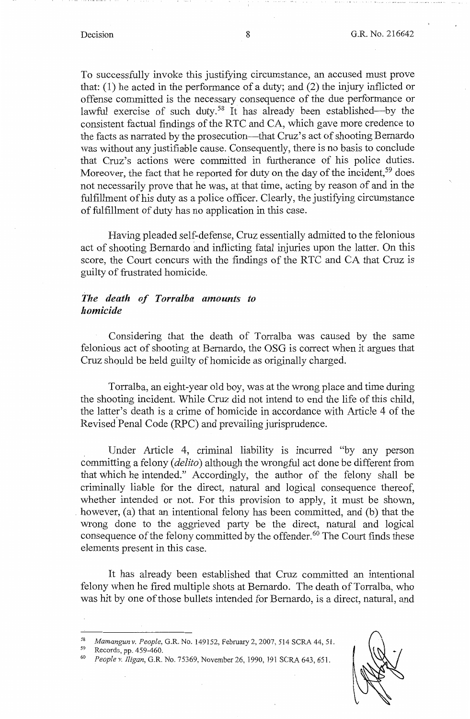To successfully invoke this justifying circumstance, an accused must prove that: (1) he acted in the performance of a duty; and (2) the injury inflicted or offense committed is the necessary consequence of the due performance or lawful exercise of such duty.<sup>58</sup> It has already been established—by the consistent factual findings of the RTC and CA, which gave more credence to the facts as narrated by the prosecution-that Cruz's act of shooting Bernardo was without any justifiable cause. Consequently, there is no basis to conclude that Cruz's actions were committed in furtherance of his police duties. Moreover, the fact that he reported for duty on the day of the incident,<sup>59</sup> does not necessarily prove that he was, at that time, acting by reason of and in the fulfillment of his duty as a police officer. Clearly, the justifying circumstance of fulfillment of duty has no application in this case.

Having pleaded self-defense, Cruz essentially admitted to the felonious act of shooting Bernardo and inflicting fatal injuries upon the latter. On this score, the Court concurs with the findings of the RTC and CA that Cruz is guilty of frustrated homicide.

### *The death of Torralba amounts to homicide*

Considering that the death of Torralba was caused by the same felonious act of shooting at Bernardo, the OSG is correct when it argues that Cruz should be held guilty of homicide as originally charged.

Torralba, an eight-year old boy, was at the wrong place and time during the shooting incident. While Cruz did not intend to end the life of this child, the latter's death is a crime of homicide in accordance with Article 4 of the Revised Penal Code (RPC) and prevailing jurisprudence.

Under Article 4, criminal liability is incurred "by any person committing a felony ( *delito)* although the wrongful act done be different from that which he intended." Accordingly, the author of the felony shall be criminally liable for the direct, natural and logical consequence thereof, whether intended or not. For this provision to apply, it must be shown, however, (a) that an intentional felony has been committed, and (b) that the wrong done to the aggrieved party be the direct, natural and logical consequence of the felony committed by the offender. 60 The Court finds these elements present in this case.

It has already been established that Cruz committed an intentional felony when he fired multiple shots at Bernardo. The death of Torralba, who was hit by one of those bullets intended for Bernardo, is a direct, natural, and

<sup>58</sup>*Mamangun v. People,* G.R. No. 149152, February 2, 2007, 514 SCRA 44, 51. 59 Records, pp. 459-460. 60 *People v. Iligan,* G.R. No. 75369, November 26, 1990, 191 SCRA 643,651.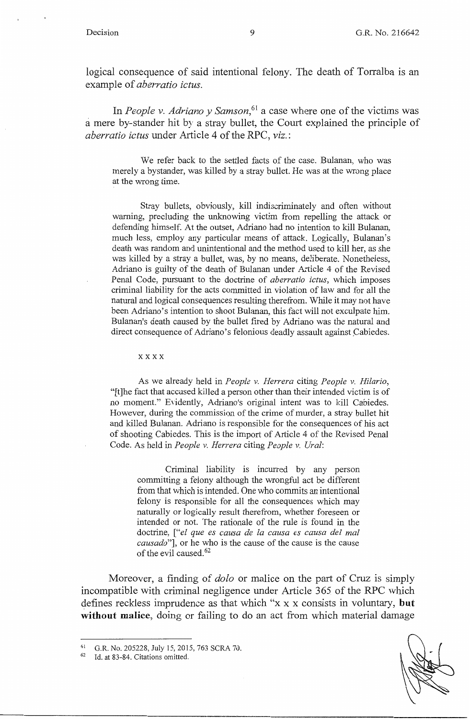logical consequence of said intentional felony. The death of Torralba is an example of *aberratio ictus.* 

In *People v. Adriano y Samson*,<sup>61</sup> a case where one of the victims was a mere by-stander hit by a stray bullet, the Court explained the principle of *aberratio ictus* under Article 4 of the RPC, *viz.:* 

We refer back to the settled facts of the case. Bulanan, who was merely a bystander, was killed by a stray bullet. He was at the wrong place at the wrong time.

Stray bullets, obviously, kill indiscriminately and often without warning, precluding the unknowing victim from repelling the attack or defending himself. At the outset, Adriano had no intention to kill Bulanan, much less, employ any particular means of attack. Logically, Bulanan's death was random and unintentional and the method used to kill her, as she was killed by a stray a bullet, was, by no means, deliberate. Nonetheless, Adriano is guilty of the death of Bulanan under Article 4 of the Revised Penal Code, pursuant to the doctrine of *aberratio ictus,* which imposes criminal liability for the acts committed in violation of law and for all the natural and logical consequences resulting therefrom. While it may not have been Adriano's intention to shoot Bulanan, this fact will not exculpate him. Bulanan's death caused by the bullet fired by Adriano was the natural and direct consequence of Adriano's felonious deadly assault against Cabiedes.

#### xxxx

As we already held in *People v. Herrera* citing *People v. Hilario,*  "[t]he fact that accused killed a person other than their intended victim is of no moment." Evidently, Adriano's original intent was to kill Cabiedes. However, during the commission of the crime of murder, a stray bullet hit and killed Bulanan. Adriano is responsible for the consequences of his act of shooting Cabiedes. This is the import of Article 4 of the Revised Penal Code. As held in *People v. Herrera* citing *People v. Ural:* 

Criminal liability is incurred by any person committing a felony although the wrongful act be different from that which is intended. One who commits an intentional felony is responsible for all the consequences which may naturally or logically result therefrom, whether foreseen or intended or not. The rationale of the rule is found in the doctrine, *["el que es causa de la causa es causa de! mal causado"],* or he who is the cause of the cause is the cause of the evil caused. 62

Moreover, a finding of *dolo* or malice on the part of Cruz is simply incompatible with criminal negligence under Article 365 of the RPC which defines reckless imprudence as that which "x xx consists in voluntary, **but without malice,** doing or failing to do an act from which material damage

<sup>&</sup>lt;sup>61</sup> G.R. No. 205228, July 15, 2015, 763 SCRA 70.<br><sup>62</sup> Id. at 83-84. Citations omitted.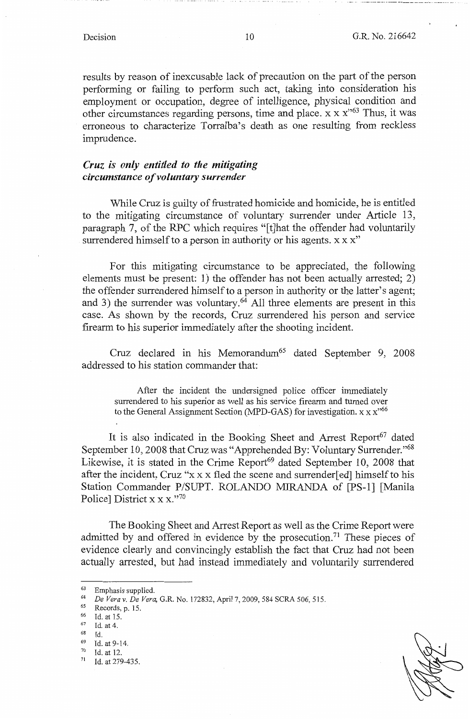results by reason of inexcusable lack of precaution on the part of the person performing or failing to perform such act, taking into consideration his employment or occupation, degree of intelligence, physical condition and other circumstances regarding persons, time and place.  $x \times x$ <sup>563</sup> Thus, it was erroneous to characterize Torralba's death as one resulting from reckless imprudence.

# *Cruz is only entitled to the mitigating circumstance of voluntary surrender*

While Cruz is guilty of frustrated homicide and homicide, he is entitled to the mitigating circumstance of voluntary surrender under Article 13, paragraph 7, of the RPC which requires "[t]hat the offender had voluntarily surrendered himself to a person in authority or his agents. x x x"

For this mitigating circumstance to be appreciated, the following elements must be present: 1) the offender has not been actually arrested; 2) the offender surrendered himself to a person in authority or the latter's agent; and 3) the surrender was voluntary.<sup>64</sup> All three elements are present in this case. As shown by the records, Cruz surrendered his person and service firearm to his superior immediately after the shooting incident.

Cruz declared in his Memorandum<sup>65</sup> dated September 9, 2008 addressed to his station commander that:

After the incident the undersigned police officer immediately surrendered to his superior as well as his service firearm and turned over to the General Assignment Section (MPD-GAS) for investigation.  $x x x^{66}$ 

It is also indicated in the Booking Sheet and Arrest Report<sup>67</sup> dated September 10, 2008 that Cruz was "Apprehended By: Voluntary Surrender."<sup>68</sup> Likewise, it is stated in the Crime Report<sup>69</sup> dated September 10, 2008 that after the incident, Cruz "x x x fled the scene and surrender[ ed] himself to his Station Commander P/SUPT. ROLANDO MIRANDA of [PS-1] [Manila Police] District x x x."70

The Booking Sheet and Arrest Report as well as the Crime Report were admitted by and offered in evidence by the prosecution.<sup>71</sup> These pieces of evidence clearly and convincingly establish the fact that Cruz had not been actually arrested, but had instead immediately and voluntarily surrendered

 $^{63}$  Emphasis supplied.<br> $^{64}$  De Verg v. De Verg

<sup>64</sup> *De Vera v. De Vera*, G.R. No. 172832, April 7, 2009, 584 SCRA 506, 515.<br>
65 Records, p. 15.<br>
66 Id. at 15.<br>
67 Id. at 4.<br>
68 Id.

<sup>68</sup> Id.<br>
69 Id. at 9-14.<br>
70 Id. at 12.<br>
71 Id. at 279-435.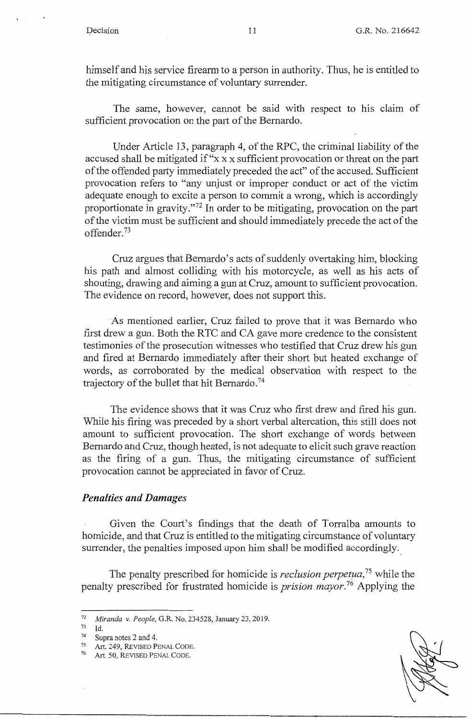himself and his service firearm to a person in authority. Thus, he is entitled to the mitigating circumstance of voluntary surrender.

The same, however, cannot be said with respect to his claim of sufficient provocation on the part of the Bernardo.

Under Article 13, paragraph 4, of the RPC, the criminal liability of the accused shall be mitigated if "x x x sufficient provocation or threat on the part of the offended party immediately preceded the act" of the accused. Sufficient provocation refers to "any unjust or improper conduct or act of the victim adequate enough to excite a person to commit a wrong, which is accordingly proportionate in gravity."<sup>72</sup> In order to be mitigating, provocation on the part of the victim must be sufficient and should immediately precede the act of the offender.<sup>73</sup>

Cruz argues that Bernardo's acts of suddenly overtaking him, blocking his path and almost colliding with his motorcycle, as well as his acts of shouting, drawing and aiming a gun at Cruz, amount to sufficient provocation. The evidence on record, however, does not support this.

As mentioned earlier, Cruz failed to prove that it was Bernardo who first drew a gun. Both the RTC and CA gave more credence to the consistent testimonies of the prosecution witnesses who testified that Cruz drew his gun and fired at Bernardo immediately after their short but heated exchange of words, as corroborated by the medical observation with respect to the trajectory of the bullet that hit Bernardo.<sup>74</sup>

The evidence shows that it was Cruz who first drew and fired his gun. While his firing was preceded by a short verbal altercation, this still does not amount to sufficient provocation. The short exchange of words between Bernardo and Cruz, though heated, is not adequate to elicit such grave reaction as the firing of a gun. Thus, the mitigating circumstance of sufficient provocation cannot be appreciated in favor of Cruz.

### *Penalties and Damages*

Given the Court's findings that the death of Torralba amounts to homicide, and that Cruz is entitled to the mitigating circumstance of voluntary surrender, the penalties imposed upon him shall be modified accordingly.

The penalty prescribed for homicide is *reclusion perpetµa,* 75 while the penalty prescribed for frustrated homicide is *prision mayor*.<sup>76</sup> Applying the

<sup>72</sup>*Miranda v. People,* G.R. No. 234528, January 23, 2019.

Id.

<sup>&</sup>lt;sup>74</sup> Supra notes 2 and 4.<br><sup>75</sup> Art. 249, REVISED PENAL CODE.<br><sup>76</sup> Art. 50, REVISED PENAL CODE.

Art. 50, REVISED PENAL CODE.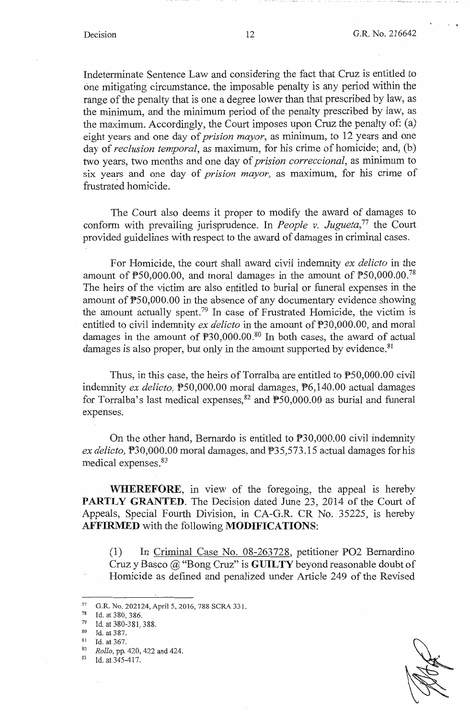Indeterminate Sentence Law and considering the fact that Cruz is entitled to one mitigating circumstance, the imposable penalty is any period within the range of the penalty that is one a degree lower than that prescribed by law, as the minimum, and the minimum period of the penalty prescribed by law, as the maximum. Accordingly, the Court imposes upon Cruz the penalty of: (a) eight years and one day of *prision mayor,* as minimum, to 12 years and one day of *reclusion temporal,* as maximum, for his crime of homicide; and, (b) two years, two months and one day of *prision correccional,* as minimum to six years and one day of *prision mayor*, as maximum, for his crime of frustrated homicide.

The Court also deems it proper to modify the award of damages to conform with prevailing jurisprudence. In *People v. Jugueta,* 77 the Court provided guidelines with respect to the award of damages in criminal cases.

For Homicide, the court shall award civil indemnity *ex delicto* in the amount of  $\mathbb{P}50,000.00$ , and moral damages in the amount of  $\mathbb{P}50,000.00$ .<sup>78</sup> The heirs of the victim are also entitled to burial or funeral expenses in the amount of P50,000.00 in the absence of any documentary evidence showing the amount actually spent.79 In case of Frustrated Homicide, the victim is entitled to civil indemnity *ex delicto* in the amount of  $\overline{P}30,000.00$ , and moral damages in the amount of  $\mathbb{P}30,000.00$ .<sup>80</sup> In both cases, the award of actual damages is also proper, but only in the amount supported by evidence.<sup>81</sup>

Thus, in this case, the heirs of Torralba are entitled to P50,000.00 civil indemnity *ex delicto,* P50,000.00 moral damages, P6,140.00 actual damages for Torralba's last medical expenses,  $82$  and  $\overline{P}50,000.00$  as burial and funeral expenses.

On the other hand, Bernardo is entitled to P30,000.00 civil indemnity *ex delicto*,  $\overline{P}30,000.00$  moral damages, and  $\overline{P}35,573.15$  actual damages for his medical expenses.83

**WHEREFORE,** in view of the foregoing, the appeal is hereby PARTLY GRANTED. The Decision dated June 23, 2014 of the Court of Appeals, Special Fourth Division, in CA-G.R. CR No. 35225, is hereby **AFFIRMED** with the following **MODIFICATIONS:** 

(1) In Criminal Case No. 08-263728, petitioner PO2 Bernardino Cruz y Basco @ "Bong Cruz" is **GUILTY** beyond reasonable doubt of Homicide as defined and penalized under Article 249 of the Revised

80 Id. at 387.<br>
81 Id. at 367.<br>
82 *Rollo*, pp. 420, 422 and 424.<br>
83 Id. at 345-417.

 $^{77}$  G.R. No. 202124, April 5, 2016, 788 SCRA 331.<br> $^{78}$  Id at 380, 386

 $7^8$  Id. at 380, 386.<br>  $7^9$  Id. at 380-381, 388.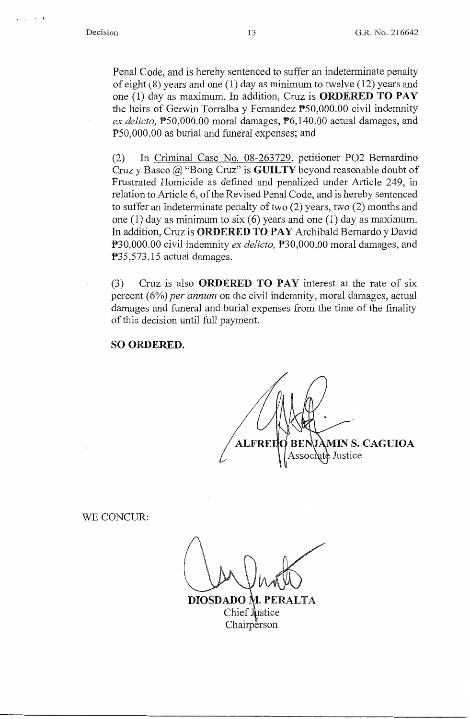**<sup>p</sup>**I I **i** 

Penal Code, and is hereby sentenced to suffer an indeterminate penalty of eight (8) years and one (1) day as minimum to twelve (12) years and one (1) day as maximum. In addition, Cruz is **ORDERED TO PAY**  the heirs of Gerwin Torralba y Fernandez PS0,000.00 civil indemnity *ex delicto,* PS0,000.00 moral damages, P6,140.00 actual damages, and PS0,000.00 as burial and funeral expenses; and

(2) In Criminal Case No. 08-263729, petitioner PO2 Bernardino Cruz y Basco @ "Bong Cruz" is **GUILTY** beyond reasonable doubt of Frustrated Homicide as defined and penalized under Article 249, in relation to Article 6, of the Revised Penal Code, and is hereby sentenced to suffer an indeterminate penalty of two (2) years, two (2) months and one (1) day as minimum to six (6) years and one (1) day as maximum. In addition, Cruz is **ORDERED TO PAY** Archibald Bernardo y David P30,000.00 civil indemnity *ex delicto,* P30,000.00 moral damages, and P35,573.15 actual damages.

(3) Cruz is also **ORDERED TO PAY** interest at the rate of six percent (6%) *per annum* on the civil indemnity, moral damages, actual damages and funeral and burial expenses from the time of the finality of this decision until full payment.

**SO ORDERED.** 

**MIN S. CAGUIOA ALFRED** atè Justice

WE CONCUR:

DIOSDADO M. PERALTA Chief Justice **Chairperson**